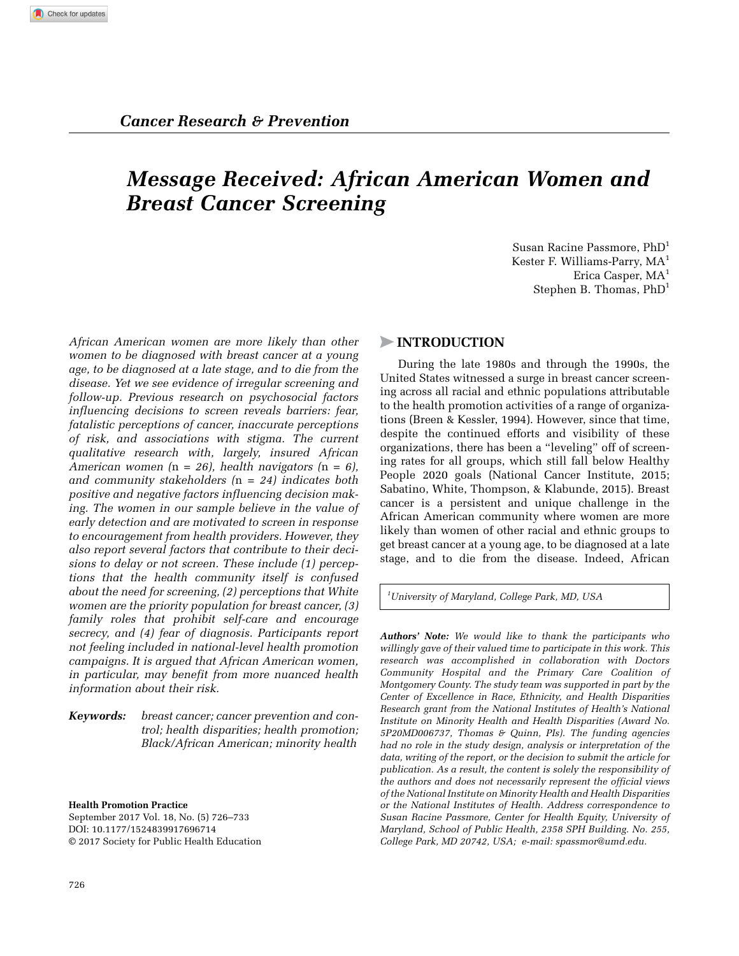# *Message Received: African American Women and Breast Cancer Screening*

Susan Racine Passmore, PhD1 Kester F. Williams-Parry,  $MA<sup>1</sup>$ Erica Casper, MA<sup>1</sup> Stephen B. Thomas,  $PhD<sup>1</sup>$ 

*African American women are more likely than other women to be diagnosed with breast cancer at a young age, to be diagnosed at a late stage, and to die from the disease. Yet we see evidence of irregular screening and follow-up. Previous research on psychosocial factors influencing decisions to screen reveals barriers: fear, fatalistic perceptions of cancer, inaccurate perceptions of risk, and associations with stigma. The current qualitative research with, largely, insured African American women* ( $n = 26$ ), health navigators ( $n = 6$ ), *and community stakeholders (*n *= 24) indicates both positive and negative factors influencing decision making. The women in our sample believe in the value of early detection and are motivated to screen in response to encouragement from health providers. However, they also report several factors that contribute to their decisions to delay or not screen. These include (1) perceptions that the health community itself is confused about the need for screening, (2) perceptions that White women are the priority population for breast cancer, (3) family roles that prohibit self-care and encourage secrecy, and (4) fear of diagnosis. Participants report not feeling included in national-level health promotion campaigns. It is argued that African American women, in particular, may benefit from more nuanced health information about their risk.*

*Keywords: breast cancer; cancer prevention and control; health disparities; health promotion; Black/African American; minority health*

**Health Promotion Practice**

September 2017 Vol. 18, No. (5) 726–733 DOI: [10.1177/1524839917696714](http://doi.org/10.1177/1524839917696714) © 2017 Society for Public Health Education

### >**Introduction**

During the late 1980s and through the 1990s, the United States witnessed a surge in breast cancer screening across all racial and ethnic populations attributable to the health promotion activities of a range of organizations (Breen & Kessler, 1994). However, since that time, despite the continued efforts and visibility of these organizations, there has been a "leveling" off of screening rates for all groups, which still fall below Healthy People 2020 goals (National Cancer Institute, 2015; Sabatino, White, Thompson, & Klabunde, 2015). Breast cancer is a persistent and unique challenge in the African American community where women are more likely than women of other racial and ethnic groups to get breast cancer at a young age, to be diagnosed at a late stage, and to die from the disease. Indeed, African

*1 University of Maryland, College Park, MD, USA*

*Authors' Note: We would like to thank the participants who willingly gave of their valued time to participate in this work. This research was accomplished in collaboration with Doctors Community Hospital and the Primary Care Coalition of Montgomery County. The study team was supported in part by the Center of Excellence in Race, Ethnicity, and Health Disparities Research grant from the National Institutes of Health's National Institute on Minority Health and Health Disparities (Award No. 5P20MD006737, Thomas & Quinn, PIs). The funding agencies had no role in the study design, analysis or interpretation of the data, writing of the report, or the decision to submit the article for publication. As a result, the content is solely the responsibility of the authors and does not necessarily represent the official views of the National Institute on Minority Health and Health Disparities or the National Institutes of Health. Address correspondence to Susan Racine Passmore, Center for Health Equity, University of Maryland, School of Public Health, 2358 SPH Building. No. 255, College Park, MD 20742, USA; e-mail: [spassmor@umd.edu.](mailto:spassmor@umd.edu)*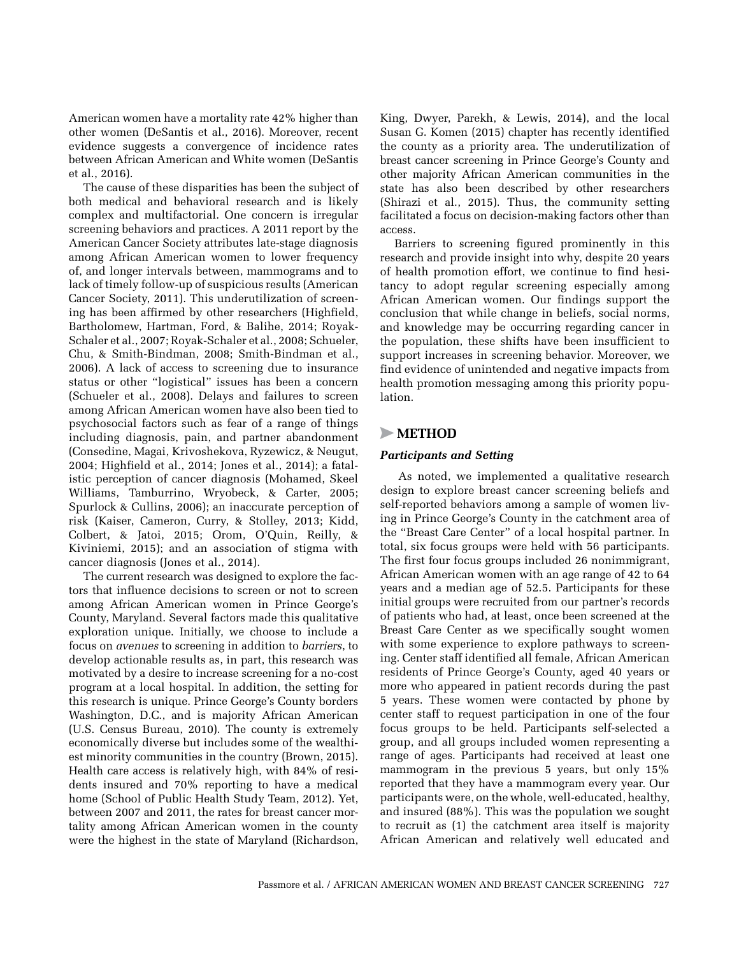American women have a mortality rate 42% higher than other women (DeSantis et al., 2016). Moreover, recent evidence suggests a convergence of incidence rates between African American and White women (DeSantis et al., 2016).

The cause of these disparities has been the subject of both medical and behavioral research and is likely complex and multifactorial. One concern is irregular screening behaviors and practices. A 2011 report by the American Cancer Society attributes late-stage diagnosis among African American women to lower frequency of, and longer intervals between, mammograms and to lack of timely follow-up of suspicious results (American Cancer Society, 2011). This underutilization of screening has been affirmed by other researchers (Highfield, Bartholomew, Hartman, Ford, & Balihe, 2014; Royak-Schaler et al., 2007; Royak-Schaler et al., 2008; Schueler, Chu, & Smith-Bindman, 2008; Smith-Bindman et al., 2006). A lack of access to screening due to insurance status or other "logistical" issues has been a concern (Schueler et al., 2008). Delays and failures to screen among African American women have also been tied to psychosocial factors such as fear of a range of things including diagnosis, pain, and partner abandonment (Consedine, Magai, Krivoshekova, Ryzewicz, & Neugut, 2004; Highfield et al., 2014; Jones et al., 2014); a fatalistic perception of cancer diagnosis (Mohamed, Skeel Williams, Tamburrino, Wryobeck, & Carter, 2005; Spurlock & Cullins, 2006); an inaccurate perception of risk (Kaiser, Cameron, Curry, & Stolley, 2013; Kidd, Colbert, & Jatoi, 2015; Orom, O'Quin, Reilly, & Kiviniemi, 2015); and an association of stigma with cancer diagnosis (Jones et al., 2014).

The current research was designed to explore the factors that influence decisions to screen or not to screen among African American women in Prince George's County, Maryland. Several factors made this qualitative exploration unique. Initially, we choose to include a focus on *avenues* to screening in addition to *barriers*, to develop actionable results as, in part, this research was motivated by a desire to increase screening for a no-cost program at a local hospital. In addition, the setting for this research is unique. Prince George's County borders Washington, D.C., and is majority African American (U.S. Census Bureau, 2010). The county is extremely economically diverse but includes some of the wealthiest minority communities in the country (Brown, 2015). Health care access is relatively high, with 84% of residents insured and 70% reporting to have a medical home (School of Public Health Study Team, 2012). Yet, between 2007 and 2011, the rates for breast cancer mortality among African American women in the county were the highest in the state of Maryland (Richardson, King, Dwyer, Parekh, & Lewis, 2014), and the local Susan G. Komen (2015) chapter has recently identified the county as a priority area. The underutilization of breast cancer screening in Prince George's County and other majority African American communities in the state has also been described by other researchers (Shirazi et al., 2015). Thus, the community setting facilitated a focus on decision-making factors other than access.

Barriers to screening figured prominently in this research and provide insight into why, despite 20 years of health promotion effort, we continue to find hesitancy to adopt regular screening especially among African American women. Our findings support the conclusion that while change in beliefs, social norms, and knowledge may be occurring regarding cancer in the population, these shifts have been insufficient to support increases in screening behavior. Moreover, we find evidence of unintended and negative impacts from health promotion messaging among this priority population.

# >**Method**

### *Participants and Setting*

As noted, we implemented a qualitative research design to explore breast cancer screening beliefs and self-reported behaviors among a sample of women living in Prince George's County in the catchment area of the "Breast Care Center" of a local hospital partner. In total, six focus groups were held with 56 participants. The first four focus groups included 26 nonimmigrant, African American women with an age range of 42 to 64 years and a median age of 52.5. Participants for these initial groups were recruited from our partner's records of patients who had, at least, once been screened at the Breast Care Center as we specifically sought women with some experience to explore pathways to screening. Center staff identified all female, African American residents of Prince George's County, aged 40 years or more who appeared in patient records during the past 5 years. These women were contacted by phone by center staff to request participation in one of the four focus groups to be held. Participants self-selected a group, and all groups included women representing a range of ages. Participants had received at least one mammogram in the previous 5 years, but only 15% reported that they have a mammogram every year. Our participants were, on the whole, well-educated, healthy, and insured (88%). This was the population we sought to recruit as (1) the catchment area itself is majority African American and relatively well educated and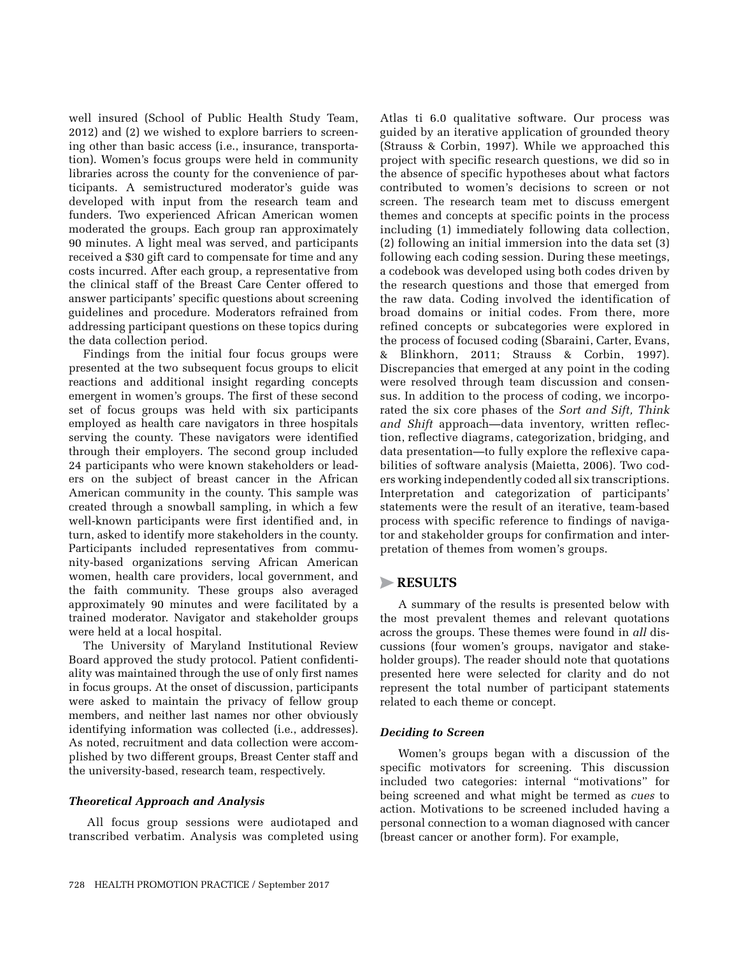well insured (School of Public Health Study Team, 2012) and (2) we wished to explore barriers to screening other than basic access (i.e., insurance, transportation). Women's focus groups were held in community libraries across the county for the convenience of participants. A semistructured moderator's guide was developed with input from the research team and funders. Two experienced African American women moderated the groups. Each group ran approximately 90 minutes. A light meal was served, and participants received a \$30 gift card to compensate for time and any costs incurred. After each group, a representative from the clinical staff of the Breast Care Center offered to answer participants' specific questions about screening guidelines and procedure. Moderators refrained from addressing participant questions on these topics during the data collection period.

Findings from the initial four focus groups were presented at the two subsequent focus groups to elicit reactions and additional insight regarding concepts emergent in women's groups. The first of these second set of focus groups was held with six participants employed as health care navigators in three hospitals serving the county. These navigators were identified through their employers. The second group included 24 participants who were known stakeholders or leaders on the subject of breast cancer in the African American community in the county. This sample was created through a snowball sampling, in which a few well-known participants were first identified and, in turn, asked to identify more stakeholders in the county. Participants included representatives from community-based organizations serving African American women, health care providers, local government, and the faith community. These groups also averaged approximately 90 minutes and were facilitated by a trained moderator. Navigator and stakeholder groups were held at a local hospital.

The University of Maryland Institutional Review Board approved the study protocol. Patient confidentiality was maintained through the use of only first names in focus groups. At the onset of discussion, participants were asked to maintain the privacy of fellow group members, and neither last names nor other obviously identifying information was collected (i.e., addresses). As noted, recruitment and data collection were accomplished by two different groups, Breast Center staff and the university-based, research team, respectively.

# *Theoretical Approach and Analysis*

All focus group sessions were audiotaped and transcribed verbatim. Analysis was completed using Atlas ti 6.0 qualitative software. Our process was guided by an iterative application of grounded theory (Strauss & Corbin, 1997). While we approached this project with specific research questions, we did so in the absence of specific hypotheses about what factors contributed to women's decisions to screen or not screen. The research team met to discuss emergent themes and concepts at specific points in the process including (1) immediately following data collection, (2) following an initial immersion into the data set (3) following each coding session. During these meetings, a codebook was developed using both codes driven by the research questions and those that emerged from the raw data. Coding involved the identification of broad domains or initial codes. From there, more refined concepts or subcategories were explored in the process of focused coding (Sbaraini, Carter, Evans, & Blinkhorn, 2011; Strauss & Corbin, 1997). Discrepancies that emerged at any point in the coding were resolved through team discussion and consensus. In addition to the process of coding, we incorporated the six core phases of the *Sort and Sift, Think and Shift* approach—data inventory, written reflection, reflective diagrams, categorization, bridging, and data presentation—to fully explore the reflexive capabilities of software analysis (Maietta, 2006). Two coders working independently coded all six transcriptions. Interpretation and categorization of participants' statements were the result of an iterative, team-based process with specific reference to findings of navigator and stakeholder groups for confirmation and interpretation of themes from women's groups.

# >**Results**

A summary of the results is presented below with the most prevalent themes and relevant quotations across the groups. These themes were found in *all* discussions (four women's groups, navigator and stakeholder groups). The reader should note that quotations presented here were selected for clarity and do not represent the total number of participant statements related to each theme or concept.

#### *Deciding to Screen*

Women's groups began with a discussion of the specific motivators for screening. This discussion included two categories: internal "motivations" for being screened and what might be termed as *cues* to action. Motivations to be screened included having a personal connection to a woman diagnosed with cancer (breast cancer or another form). For example,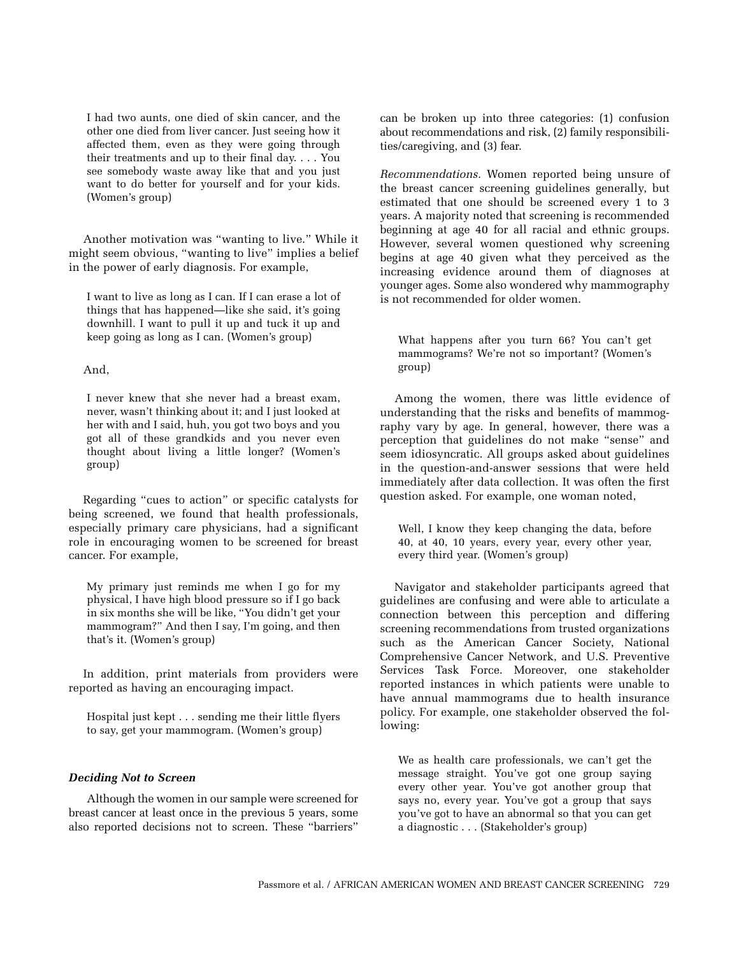I had two aunts, one died of skin cancer, and the other one died from liver cancer. Just seeing how it affected them, even as they were going through their treatments and up to their final day. . . . You see somebody waste away like that and you just want to do better for yourself and for your kids. (Women's group)

Another motivation was "wanting to live." While it might seem obvious, "wanting to live" implies a belief in the power of early diagnosis. For example,

I want to live as long as I can. If I can erase a lot of things that has happened—like she said, it's going downhill. I want to pull it up and tuck it up and keep going as long as I can. (Women's group)

#### And,

I never knew that she never had a breast exam, never, wasn't thinking about it; and I just looked at her with and I said, huh, you got two boys and you got all of these grandkids and you never even thought about living a little longer? (Women's group)

Regarding "cues to action" or specific catalysts for being screened, we found that health professionals, especially primary care physicians, had a significant role in encouraging women to be screened for breast cancer. For example,

My primary just reminds me when I go for my physical, I have high blood pressure so if I go back in six months she will be like, "You didn't get your mammogram?" And then I say, I'm going, and then that's it. (Women's group)

In addition, print materials from providers were reported as having an encouraging impact.

Hospital just kept . . . sending me their little flyers to say, get your mammogram. (Women's group)

# *Deciding Not to Screen*

Although the women in our sample were screened for breast cancer at least once in the previous 5 years, some also reported decisions not to screen. These "barriers" can be broken up into three categories: (1) confusion about recommendations and risk, (2) family responsibilities/caregiving, and (3) fear.

*Recommendations.* Women reported being unsure of the breast cancer screening guidelines generally, but estimated that one should be screened every 1 to 3 years. A majority noted that screening is recommended beginning at age 40 for all racial and ethnic groups. However, several women questioned why screening begins at age 40 given what they perceived as the increasing evidence around them of diagnoses at younger ages. Some also wondered why mammography is not recommended for older women.

What happens after you turn 66? You can't get mammograms? We're not so important? (Women's group)

Among the women, there was little evidence of understanding that the risks and benefits of mammography vary by age. In general, however, there was a perception that guidelines do not make "sense" and seem idiosyncratic. All groups asked about guidelines in the question-and-answer sessions that were held immediately after data collection. It was often the first question asked. For example, one woman noted,

Well, I know they keep changing the data, before 40, at 40, 10 years, every year, every other year, every third year. (Women's group)

Navigator and stakeholder participants agreed that guidelines are confusing and were able to articulate a connection between this perception and differing screening recommendations from trusted organizations such as the American Cancer Society, National Comprehensive Cancer Network, and U.S. Preventive Services Task Force. Moreover, one stakeholder reported instances in which patients were unable to have annual mammograms due to health insurance policy. For example, one stakeholder observed the following:

We as health care professionals, we can't get the message straight. You've got one group saying every other year. You've got another group that says no, every year. You've got a group that says you've got to have an abnormal so that you can get a diagnostic . . . (Stakeholder's group)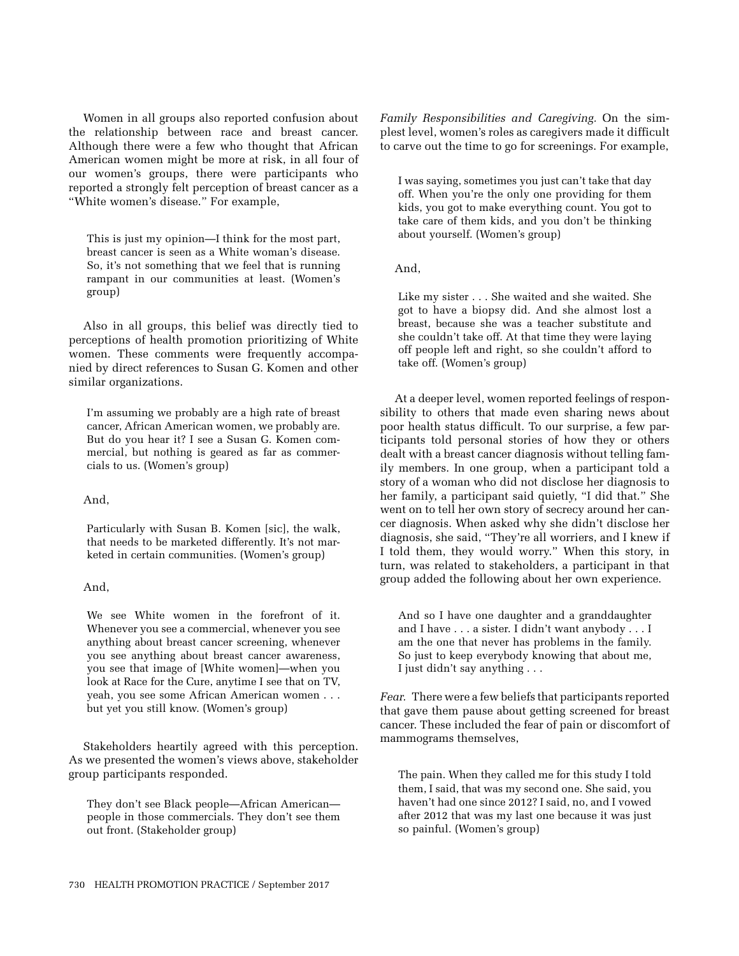Women in all groups also reported confusion about the relationship between race and breast cancer. Although there were a few who thought that African American women might be more at risk, in all four of our women's groups, there were participants who reported a strongly felt perception of breast cancer as a "White women's disease." For example,

This is just my opinion—I think for the most part, breast cancer is seen as a White woman's disease. So, it's not something that we feel that is running rampant in our communities at least. (Women's group)

Also in all groups, this belief was directly tied to perceptions of health promotion prioritizing of White women. These comments were frequently accompanied by direct references to Susan G. Komen and other similar organizations.

I'm assuming we probably are a high rate of breast cancer, African American women, we probably are. But do you hear it? I see a Susan G. Komen commercial, but nothing is geared as far as commercials to us. (Women's group)

#### And,

Particularly with Susan B. Komen [sic], the walk, that needs to be marketed differently. It's not marketed in certain communities. (Women's group)

# And,

We see White women in the forefront of it. Whenever you see a commercial, whenever you see anything about breast cancer screening, whenever you see anything about breast cancer awareness, you see that image of [White women]—when you look at Race for the Cure, anytime I see that on TV, yeah, you see some African American women . . . but yet you still know. (Women's group)

Stakeholders heartily agreed with this perception. As we presented the women's views above, stakeholder group participants responded.

They don't see Black people—African American people in those commercials. They don't see them out front. (Stakeholder group)

*Family Responsibilities and Caregiving.* On the simplest level, women's roles as caregivers made it difficult to carve out the time to go for screenings. For example,

I was saying, sometimes you just can't take that day off. When you're the only one providing for them kids, you got to make everything count. You got to take care of them kids, and you don't be thinking about yourself. (Women's group)

And,

Like my sister . . . She waited and she waited. She got to have a biopsy did. And she almost lost a breast, because she was a teacher substitute and she couldn't take off. At that time they were laying off people left and right, so she couldn't afford to take off. (Women's group)

At a deeper level, women reported feelings of responsibility to others that made even sharing news about poor health status difficult. To our surprise, a few participants told personal stories of how they or others dealt with a breast cancer diagnosis without telling family members. In one group, when a participant told a story of a woman who did not disclose her diagnosis to her family, a participant said quietly, "I did that." She went on to tell her own story of secrecy around her cancer diagnosis. When asked why she didn't disclose her diagnosis, she said, "They're all worriers, and I knew if I told them, they would worry." When this story, in turn, was related to stakeholders, a participant in that group added the following about her own experience.

And so I have one daughter and a granddaughter and I have . . . a sister. I didn't want anybody . . . I am the one that never has problems in the family. So just to keep everybody knowing that about me, I just didn't say anything . . .

*Fear.* There were a few beliefs that participants reported that gave them pause about getting screened for breast cancer. These included the fear of pain or discomfort of mammograms themselves,

The pain. When they called me for this study I told them, I said, that was my second one. She said, you haven't had one since 2012? I said, no, and I vowed after 2012 that was my last one because it was just so painful. (Women's group)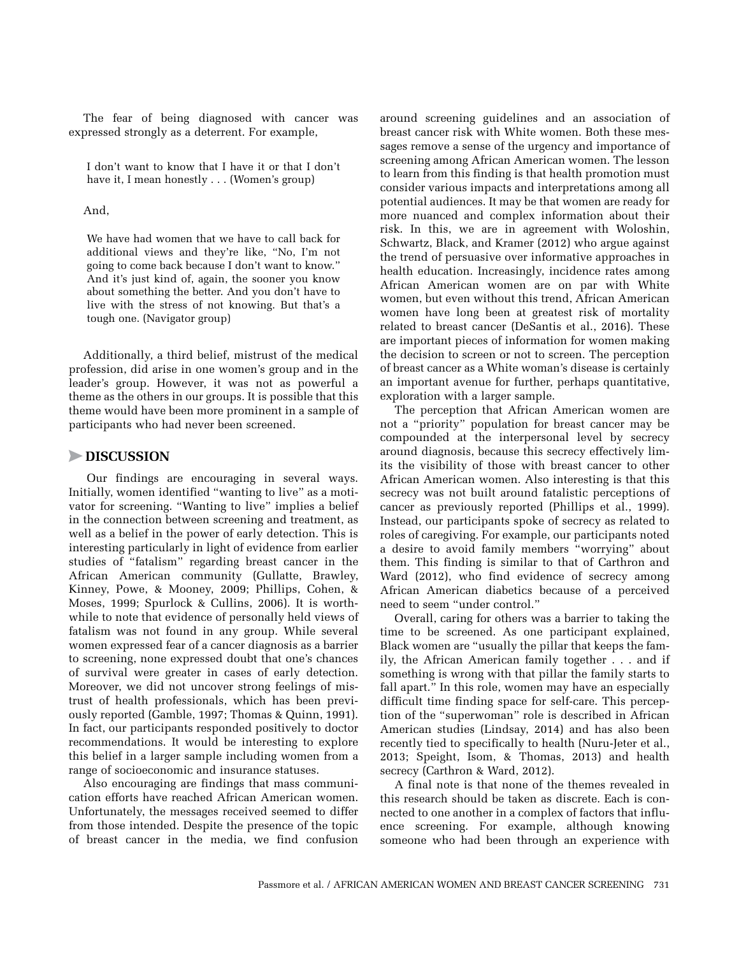The fear of being diagnosed with cancer was expressed strongly as a deterrent. For example,

I don't want to know that I have it or that I don't have it, I mean honestly . . . (Women's group)

### And,

We have had women that we have to call back for additional views and they're like, "No, I'm not going to come back because I don't want to know." And it's just kind of, again, the sooner you know about something the better. And you don't have to live with the stress of not knowing. But that's a tough one. (Navigator group)

Additionally, a third belief, mistrust of the medical profession, did arise in one women's group and in the leader's group. However, it was not as powerful a theme as the others in our groups. It is possible that this theme would have been more prominent in a sample of participants who had never been screened.

# >**Discussion**

Our findings are encouraging in several ways. Initially, women identified "wanting to live" as a motivator for screening. "Wanting to live" implies a belief in the connection between screening and treatment, as well as a belief in the power of early detection. This is interesting particularly in light of evidence from earlier studies of "fatalism" regarding breast cancer in the African American community (Gullatte, Brawley, Kinney, Powe, & Mooney, 2009; Phillips, Cohen, & Moses, 1999; Spurlock & Cullins, 2006). It is worthwhile to note that evidence of personally held views of fatalism was not found in any group. While several women expressed fear of a cancer diagnosis as a barrier to screening, none expressed doubt that one's chances of survival were greater in cases of early detection. Moreover, we did not uncover strong feelings of mistrust of health professionals, which has been previously reported (Gamble, 1997; Thomas & Quinn, 1991). In fact, our participants responded positively to doctor recommendations. It would be interesting to explore this belief in a larger sample including women from a range of socioeconomic and insurance statuses.

Also encouraging are findings that mass communication efforts have reached African American women. Unfortunately, the messages received seemed to differ from those intended. Despite the presence of the topic of breast cancer in the media, we find confusion around screening guidelines and an association of breast cancer risk with White women. Both these messages remove a sense of the urgency and importance of screening among African American women. The lesson to learn from this finding is that health promotion must consider various impacts and interpretations among all potential audiences. It may be that women are ready for more nuanced and complex information about their risk. In this, we are in agreement with Woloshin, Schwartz, Black, and Kramer (2012) who argue against the trend of persuasive over informative approaches in health education. Increasingly, incidence rates among African American women are on par with White women, but even without this trend, African American women have long been at greatest risk of mortality related to breast cancer (DeSantis et al., 2016). These are important pieces of information for women making the decision to screen or not to screen. The perception of breast cancer as a White woman's disease is certainly an important avenue for further, perhaps quantitative, exploration with a larger sample.

The perception that African American women are not a "priority" population for breast cancer may be compounded at the interpersonal level by secrecy around diagnosis, because this secrecy effectively limits the visibility of those with breast cancer to other African American women. Also interesting is that this secrecy was not built around fatalistic perceptions of cancer as previously reported (Phillips et al., 1999). Instead, our participants spoke of secrecy as related to roles of caregiving. For example, our participants noted a desire to avoid family members "worrying" about them. This finding is similar to that of Carthron and Ward (2012), who find evidence of secrecy among African American diabetics because of a perceived need to seem "under control."

Overall, caring for others was a barrier to taking the time to be screened. As one participant explained, Black women are "usually the pillar that keeps the family, the African American family together . . . and if something is wrong with that pillar the family starts to fall apart." In this role, women may have an especially difficult time finding space for self-care. This perception of the "superwoman" role is described in African American studies (Lindsay, 2014) and has also been recently tied to specifically to health (Nuru-Jeter et al., 2013; Speight, Isom, & Thomas, 2013) and health secrecy (Carthron & Ward, 2012).

A final note is that none of the themes revealed in this research should be taken as discrete. Each is connected to one another in a complex of factors that influence screening. For example, although knowing someone who had been through an experience with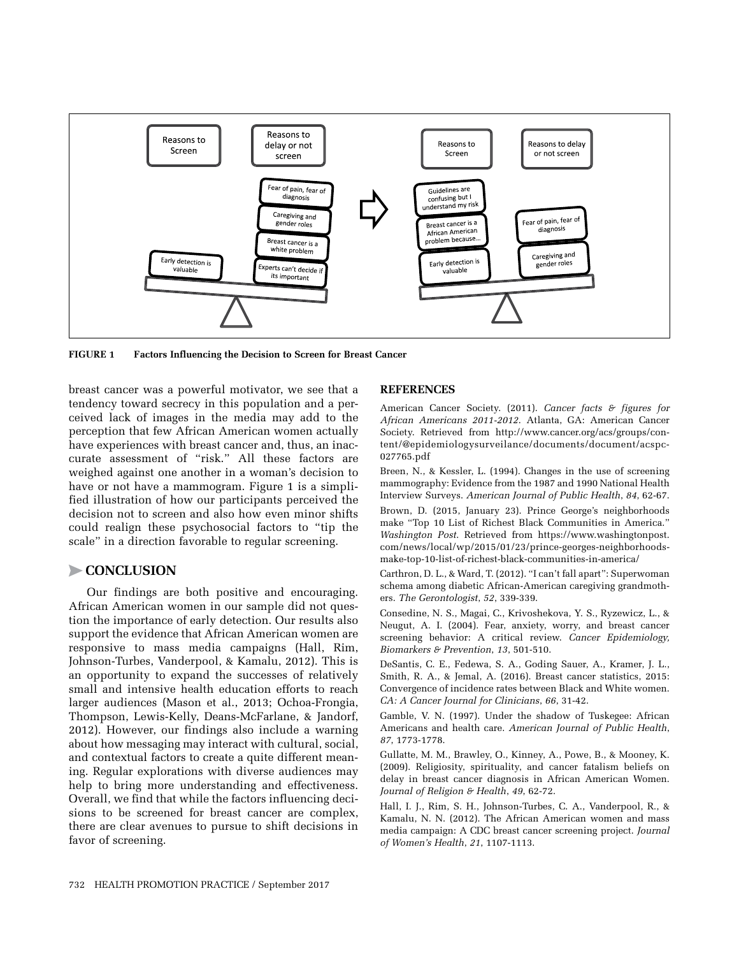

**Figure 1 Factors Influencing the Decision to Screen for Breast Cancer**

breast cancer was a powerful motivator, we see that a tendency toward secrecy in this population and a perceived lack of images in the media may add to the perception that few African American women actually have experiences with breast cancer and, thus, an inaccurate assessment of "risk." All these factors are weighed against one another in a woman's decision to have or not have a mammogram. Figure 1 is a simplified illustration of how our participants perceived the decision not to screen and also how even minor shifts could realign these psychosocial factors to "tip the scale" in a direction favorable to regular screening.

# >**Conclusion**

Our findings are both positive and encouraging. African American women in our sample did not question the importance of early detection. Our results also support the evidence that African American women are responsive to mass media campaigns (Hall, Rim, Johnson-Turbes, Vanderpool, & Kamalu, 2012). This is an opportunity to expand the successes of relatively small and intensive health education efforts to reach larger audiences (Mason et al., 2013; Ochoa-Frongia, Thompson, Lewis-Kelly, Deans-McFarlane, & Jandorf, 2012). However, our findings also include a warning about how messaging may interact with cultural, social, and contextual factors to create a quite different meaning. Regular explorations with diverse audiences may help to bring more understanding and effectiveness. Overall, we find that while the factors influencing decisions to be screened for breast cancer are complex, there are clear avenues to pursue to shift decisions in favor of screening.

#### **References**

American Cancer Society. (2011). *Cancer facts & figures for African Americans 2011-2012*. Atlanta, GA: American Cancer Society. Retrieved from http://www.cancer.org/acs/groups/content/@epidemiologysurveilance/documents/document/acspc-027765.pdf

Breen, N., & Kessler, L. (1994). Changes in the use of screening mammography: Evidence from the 1987 and 1990 National Health Interview Surveys. *American Journal of Public Health*, *84*, 62-67.

Brown, D. (2015, January 23). Prince George's neighborhoods make "Top 10 List of Richest Black Communities in America." *Washington Post*. Retrieved from [https://www.washingtonpost.](https://www.washingtonpost.com/news/local/wp/2015/01/23/prince-georges-neighborhoods-make-top-10-list-of-richest-black-communities-in-america/) [com/news/local/wp/2015/01/23/prince-georges-neighborhoods](https://www.washingtonpost.com/news/local/wp/2015/01/23/prince-georges-neighborhoods-make-top-10-list-of-richest-black-communities-in-america/)[make-top-10-list-of-richest-black-communities-in-america/](https://www.washingtonpost.com/news/local/wp/2015/01/23/prince-georges-neighborhoods-make-top-10-list-of-richest-black-communities-in-america/)

Carthron, D. L., & Ward, T. (2012). "I can't fall apart": Superwoman schema among diabetic African-American caregiving grandmothers. *The Gerontologist*, *52*, 339-339.

Consedine, N. S., Magai, C., Krivoshekova, Y. S., Ryzewicz, L., & Neugut, A. I. (2004). Fear, anxiety, worry, and breast cancer screening behavior: A critical review. *Cancer Epidemiology, Biomarkers & Prevention*, *13*, 501-510.

DeSantis, C. E., Fedewa, S. A., Goding Sauer, A., Kramer, J. L., Smith, R. A., & Jemal, A. (2016). Breast cancer statistics, 2015: Convergence of incidence rates between Black and White women. *CA: A Cancer Journal for Clinicians*, *66*, 31-42.

Gamble, V. N. (1997). Under the shadow of Tuskegee: African Americans and health care. *American Journal of Public Health*, *87*, 1773-1778.

Gullatte, M. M., Brawley, O., Kinney, A., Powe, B., & Mooney, K. (2009). Religiosity, spirituality, and cancer fatalism beliefs on delay in breast cancer diagnosis in African American Women. *Journal of Religion & Health*, *49*, 62-72.

Hall, I. J., Rim, S. H., Johnson-Turbes, C. A., Vanderpool, R., & Kamalu, N. N. (2012). The African American women and mass media campaign: A CDC breast cancer screening project. *Journal of Women's Health*, *21*, 1107-1113.